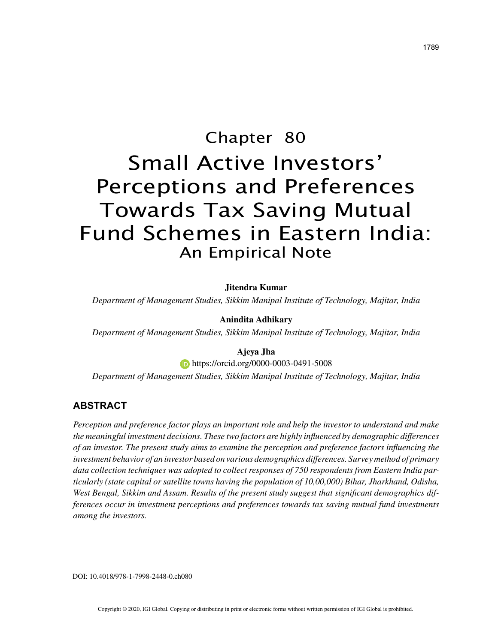# Chapter 80 Small Active Investors' Perceptions and Preferences Towards Tax Saving Mutual Fund Schemes in Eastern India: An Empirical Note

**Jitendra Kumar**

*Department of Management Studies, Sikkim Manipal Institute of Technology, Majitar, India*

**Anindita Adhikary**

*Department of Management Studies, Sikkim Manipal Institute of Technology, Majitar, India*

## **Ajeya Jha**

**https://orcid.org/0000-0003-0491-5008** 

*Department of Management Studies, Sikkim Manipal Institute of Technology, Majitar, India*

## **ABSTRACT**

*Perception and preference factor plays an important role and help the investor to understand and make the meaningful investment decisions. These two factors are highly influenced by demographic differences of an investor. The present study aims to examine the perception and preference factors influencing the investment behavior of an investor based on various demographics differences. Survey method of primary data collection techniques was adopted to collect responses of 750 respondents from Eastern India particularly (state capital or satellite towns having the population of 10,00,000) Bihar, Jharkhand, Odisha, West Bengal, Sikkim and Assam. Results of the present study suggest that significant demographics differences occur in investment perceptions and preferences towards tax saving mutual fund investments among the investors.*

DOI: 10.4018/978-1-7998-2448-0.ch080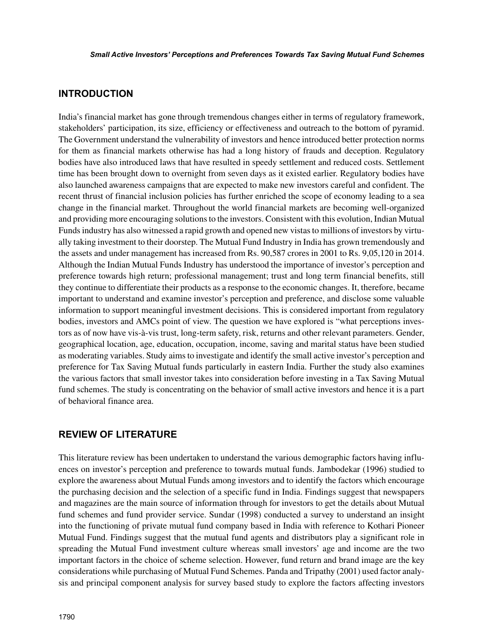# **INTRODUCTION**

India's financial market has gone through tremendous changes either in terms of regulatory framework, stakeholders' participation, its size, efficiency or effectiveness and outreach to the bottom of pyramid. The Government understand the vulnerability of investors and hence introduced better protection norms for them as financial markets otherwise has had a long history of frauds and deception. Regulatory bodies have also introduced laws that have resulted in speedy settlement and reduced costs. Settlement time has been brought down to overnight from seven days as it existed earlier. Regulatory bodies have also launched awareness campaigns that are expected to make new investors careful and confident. The recent thrust of financial inclusion policies has further enriched the scope of economy leading to a sea change in the financial market. Throughout the world financial markets are becoming well-organized and providing more encouraging solutions to the investors. Consistent with this evolution, Indian Mutual Funds industry has also witnessed a rapid growth and opened new vistas to millions of investors by virtually taking investment to their doorstep. The Mutual Fund Industry in India has grown tremendously and the assets and under management has increased from Rs. 90,587 crores in 2001 to Rs. 9,05,120 in 2014. Although the Indian Mutual Funds Industry has understood the importance of investor's perception and preference towards high return; professional management; trust and long term financial benefits, still they continue to differentiate their products as a response to the economic changes. It, therefore, became important to understand and examine investor's perception and preference, and disclose some valuable information to support meaningful investment decisions. This is considered important from regulatory bodies, investors and AMCs point of view. The question we have explored is "what perceptions investors as of now have vis-à-vis trust, long-term safety, risk, returns and other relevant parameters. Gender, geographical location, age, education, occupation, income, saving and marital status have been studied as moderating variables. Study aims to investigate and identify the small active investor's perception and preference for Tax Saving Mutual funds particularly in eastern India. Further the study also examines the various factors that small investor takes into consideration before investing in a Tax Saving Mutual fund schemes. The study is concentrating on the behavior of small active investors and hence it is a part of behavioral finance area.

## **REVIEW OF LITERATURE**

This literature review has been undertaken to understand the various demographic factors having influences on investor's perception and preference to towards mutual funds. Jambodekar (1996) studied to explore the awareness about Mutual Funds among investors and to identify the factors which encourage the purchasing decision and the selection of a specific fund in India. Findings suggest that newspapers and magazines are the main source of information through for investors to get the details about Mutual fund schemes and fund provider service. Sundar (1998) conducted a survey to understand an insight into the functioning of private mutual fund company based in India with reference to Kothari Pioneer Mutual Fund. Findings suggest that the mutual fund agents and distributors play a significant role in spreading the Mutual Fund investment culture whereas small investors' age and income are the two important factors in the choice of scheme selection. However, fund return and brand image are the key considerations while purchasing of Mutual Fund Schemes. Panda and Tripathy (2001) used factor analysis and principal component analysis for survey based study to explore the factors affecting investors